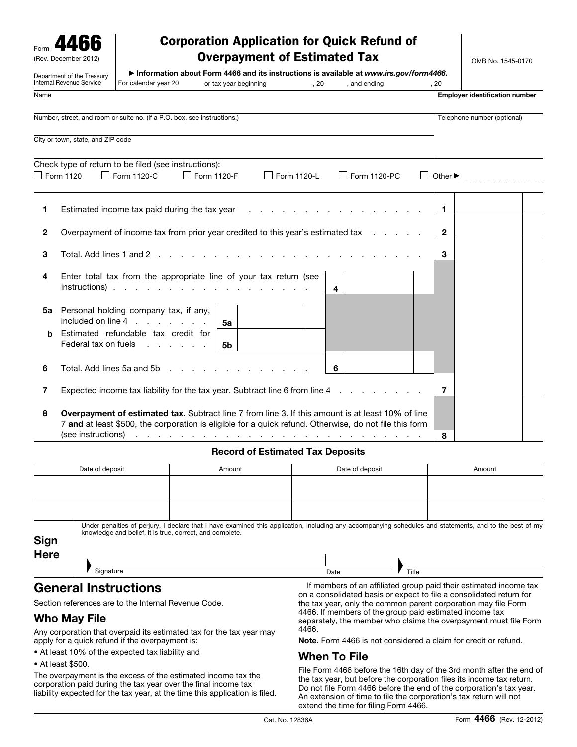| Form |                      |  |
|------|----------------------|--|
|      | (Rev. December 2012) |  |

# Corporation Application for Quick Refund of Overpayment of Estimated Tax

OMB No. 1545-0170

|      | Department of the Treasury<br>Internal Revenue Service | For calendar year 20                                                                                                                                                                                               | Information about Form 4466 and its instructions is available at www.irs.gov/form4466.<br>or tax year beginning                                                                                                                | , 20        | , and ending | . 20                        |                                       |  |
|------|--------------------------------------------------------|--------------------------------------------------------------------------------------------------------------------------------------------------------------------------------------------------------------------|--------------------------------------------------------------------------------------------------------------------------------------------------------------------------------------------------------------------------------|-------------|--------------|-----------------------------|---------------------------------------|--|
| Name |                                                        |                                                                                                                                                                                                                    |                                                                                                                                                                                                                                |             |              |                             | <b>Employer identification number</b> |  |
|      |                                                        | Number, street, and room or suite no. (If a P.O. box, see instructions.)                                                                                                                                           |                                                                                                                                                                                                                                |             |              |                             | Telephone number (optional)           |  |
|      | City or town, state, and ZIP code                      |                                                                                                                                                                                                                    |                                                                                                                                                                                                                                |             |              |                             |                                       |  |
|      | $\Box$ Form 1120                                       | Check type of return to be filed (see instructions):<br>Form 1120-C                                                                                                                                                | Form 1120-F                                                                                                                                                                                                                    | Form 1120-L | Form 1120-PC | Other $\blacktriangleright$ |                                       |  |
| 1    |                                                        | Estimated income tax paid during the tax year                                                                                                                                                                      |                                                                                                                                                                                                                                |             |              | $\mathbf{1}$                |                                       |  |
| 2    |                                                        | Overpayment of income tax from prior year credited to this year's estimated tax                                                                                                                                    |                                                                                                                                                                                                                                |             |              | $\mathbf{2}$                |                                       |  |
| З    |                                                        | Total. Add lines 1 and 2                                                                                                                                                                                           | and the company of the company of the company of the company of the company of the company of the company of the company of the company of the company of the company of the company of the company of the company of the comp |             |              | 3                           |                                       |  |
| 4    |                                                        | Enter total tax from the appropriate line of your tax return (see<br>$instructions)$                                                                                                                               |                                                                                                                                                                                                                                |             | 4            |                             |                                       |  |
| 5a   |                                                        | Personal holding company tax, if any,                                                                                                                                                                              | 5a                                                                                                                                                                                                                             |             |              |                             |                                       |  |
| b    | Federal tax on fuels                                   | Estimated refundable tax credit for<br>and the company of the company of                                                                                                                                           | 5b                                                                                                                                                                                                                             |             |              |                             |                                       |  |
| 6    | Total, Add lines 5a and 5b                             |                                                                                                                                                                                                                    |                                                                                                                                                                                                                                |             | 6            |                             |                                       |  |
| 7    |                                                        | Expected income tax liability for the tax year. Subtract line 6 from line 4                                                                                                                                        |                                                                                                                                                                                                                                |             |              | 7                           |                                       |  |
| 8    | (see instructions)                                     | <b>Overpayment of estimated tax.</b> Subtract line 7 from line 3. If this amount is at least 10% of line<br>7 and at least \$500, the corporation is eligible for a quick refund. Otherwise, do not file this form | and a series of the contract of the contract of the contract of the contract of                                                                                                                                                |             |              | 8                           |                                       |  |

### Record of Estimated Tax Deposits

|              | Date of deposit | Amount | Date of deposit<br>Amount |                                                                                                                                                                                                                              |  |  |  |
|--------------|-----------------|--------|---------------------------|------------------------------------------------------------------------------------------------------------------------------------------------------------------------------------------------------------------------------|--|--|--|
|              |                 |        |                           |                                                                                                                                                                                                                              |  |  |  |
|              |                 |        |                           |                                                                                                                                                                                                                              |  |  |  |
| Sign<br>Here | Signature       |        | <b>Date</b>               | Under penalties of perjury, I declare that I have examined this application, including any accompanying schedules and statements, and to the best of my<br>knowledge and belief, it is true, correct, and complete.<br>Title |  |  |  |

# General Instructions

Section references are to the Internal Revenue Code.

# Who May File

Any corporation that overpaid its estimated tax for the tax year may apply for a quick refund if the overpayment is:

Signature Date **Date** 

- At least 10% of the expected tax liability and
- At least \$500.

The overpayment is the excess of the estimated income tax the corporation paid during the tax year over the final income tax liability expected for the tax year, at the time this application is filed.

If members of an affiliated group paid their estimated income tax on a consolidated basis or expect to file a consolidated return for the tax year, only the common parent corporation may file Form 4466. If members of the group paid estimated income tax separately, the member who claims the overpayment must file Form 4466.

Note. Form 4466 is not considered a claim for credit or refund.

### When To File

File Form 4466 before the 16th day of the 3rd month after the end of the tax year, but before the corporation files its income tax return. Do not file Form 4466 before the end of the corporation's tax year. An extension of time to file the corporation's tax return will not extend the time for filing Form 4466.